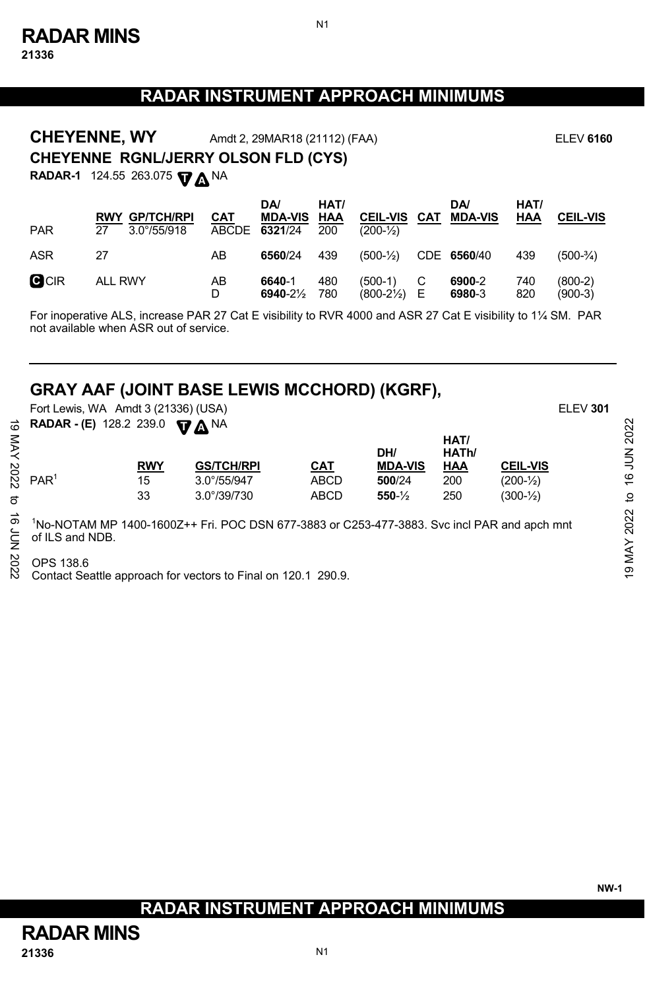## **RADAR INSTRUMENT APPROACH MINIMUMS**

N1

**RADAR-1** 124.55 263.075 **V**  $\Delta$  <sup>NA</sup> **CHEYENNE RGNL/JERRY OLSON FLD (CYS) CHEYENNE, WY** Amdt 2, 29MAR18 (21112) (FAA) **ELEV 6160** 

| <b>PAR</b> | <b>RWY GP/TCH/RPI</b><br>$3.0^{\circ}/55/918$<br>27 | <b>CAT</b> | <b>DA</b><br><b>MDA-VIS HAA</b><br>ABCDE 6321/24 200 | HAT/       | <b>CEIL-VIS</b><br>$(200-1/2)$      | CAT | DA/<br><b>MDA-VIS</b> | HAT/<br><b>HAA</b> | <b>CEIL-VIS</b>        |
|------------|-----------------------------------------------------|------------|------------------------------------------------------|------------|-------------------------------------|-----|-----------------------|--------------------|------------------------|
| ASR        | 27                                                  | AB         | 6560/24                                              | 439        | $(500-1/2)$ CDE 6560/40             |     |                       | 439                | $(500-3/4)$            |
| CCIR       | <b>ALL RWY</b>                                      | AB<br>D    | 6640-1<br>$6940 - 2\frac{1}{2}$                      | 480<br>780 | $(500-1)$<br>$(800-2\frac{1}{2})$ E |     | 6900-2<br>6980-3      | 740<br>820         | $(800-2)$<br>$(900-3)$ |

For inoperative ALS, increase PAR 27 Cat E visibility to RVR 4000 and ASR 27 Cat E visibility to 1¼ SM. PAR not available when ASR out of service.

## **GRAY AAF (JOINT BASE LEWIS MCCHORD) (KGRF),**

 Fort Lewis, WA Amdt 3 (21336) (USA) ELEV **301 RADAR - (E)** 128.2 239.0  $\Psi \Delta$ NA

|                        |                      |             | DH/                 | HAT/<br>HATh/ |                       |
|------------------------|----------------------|-------------|---------------------|---------------|-----------------------|
|                        | <b>GS/TCH/RPI</b>    | CAT         | <b>MDA-VIS</b>      | HAA           | <b>CEIL-VIS</b>       |
| PAR <sup>1</sup><br>15 | $3.0^{\circ}/55/947$ | <b>ABCD</b> | 500/24              | 200           | $(200 - \frac{1}{2})$ |
| 33                     | $3.0^{\circ}/39/730$ | <b>ABCD</b> | $550 - \frac{1}{2}$ | 250           | $(300 - \frac{1}{2})$ |
|                        |                      | <b>RWY</b>  |                     |               |                       |

Contact Seattle approach for vectors to Final on 120.1 290.9.

## **RADAR INSTRUMENT APPROACH MINIMUMS**